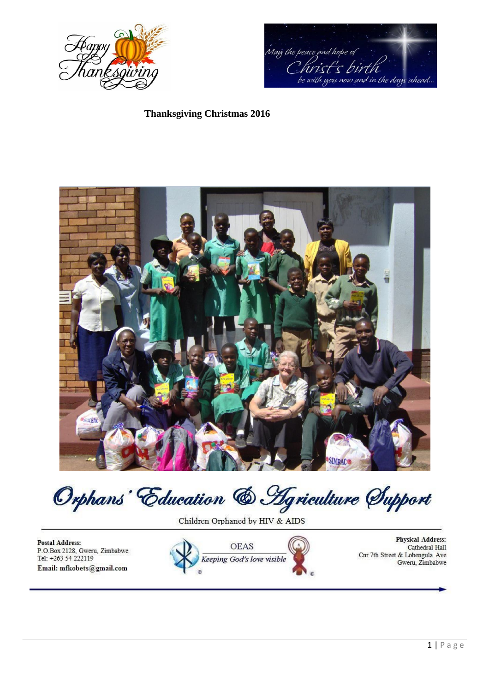



## **Thanksgiving Christmas 2016**



Orphans Education & Agriculture Support

Children Orphaned by HIV & AIDS

**Postal Address:** P.O.Box 2128, Gweru, Zimbabwe Tel: +263 54 222119 Email: mfkobets@gmail.com



**Physical Address:** Cathedral Hall Cnr 7th Street & Lobengula Ave Gweru, Zimbabwe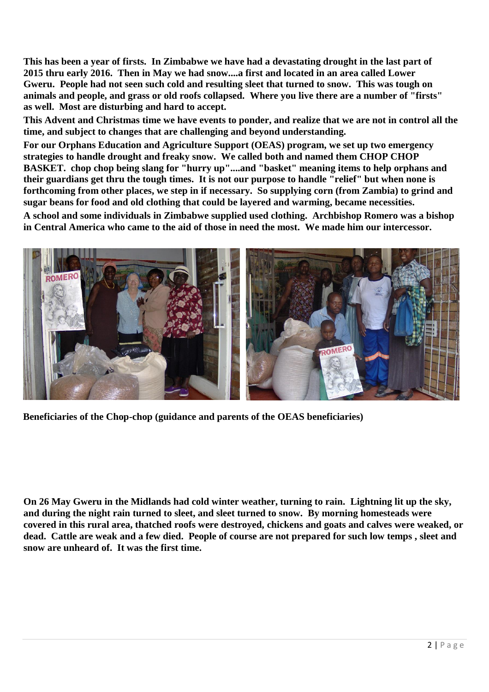**This has been a year of firsts. In Zimbabwe we have had a devastating drought in the last part of 2015 thru early 2016. Then in May we had snow....a first and located in an area called Lower Gweru. People had not seen such cold and resulting sleet that turned to snow. This was tough on animals and people, and grass or old roofs collapsed. Where you live there are a number of "firsts" as well. Most are disturbing and hard to accept.**

**This Advent and Christmas time we have events to ponder, and realize that we are not in control all the time, and subject to changes that are challenging and beyond understanding.**

**For our Orphans Education and Agriculture Support (OEAS) program, we set up two emergency strategies to handle drought and freaky snow. We called both and named them CHOP CHOP BASKET. chop chop being slang for "hurry up"....and "basket" meaning items to help orphans and their guardians get thru the tough times. It is not our purpose to handle "relief" but when none is forthcoming from other places, we step in if necessary. So supplying corn (from Zambia) to grind and sugar beans for food and old clothing that could be layered and warming, became necessities.**

**A school and some individuals in Zimbabwe supplied used clothing. Archbishop Romero was a bishop in Central America who came to the aid of those in need the most. We made him our intercessor.**



**Beneficiaries of the Chop-chop (guidance and parents of the OEAS beneficiaries)**

**On 26 May Gweru in the Midlands had cold winter weather, turning to rain. Lightning lit up the sky, and during the night rain turned to sleet, and sleet turned to snow. By morning homesteads were covered in this rural area, thatched roofs were destroyed, chickens and goats and calves were weaked, or dead. Cattle are weak and a few died. People of course are not prepared for such low temps , sleet and snow are unheard of. It was the first time.**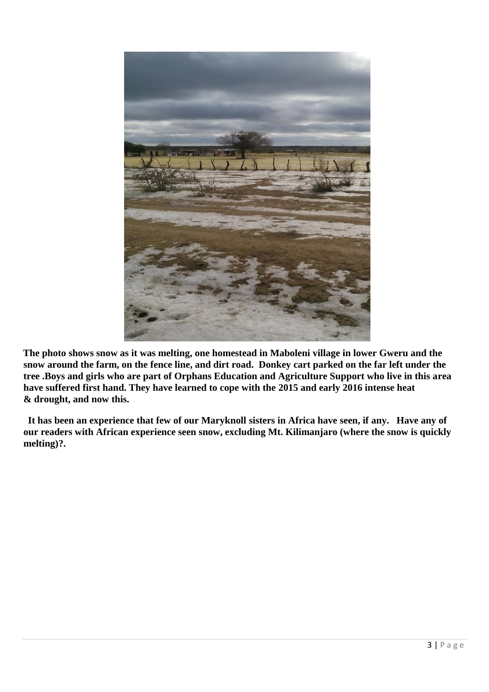

**The photo shows snow as it was melting, one homestead in Maboleni village in lower Gweru and the snow around the farm, on the fence line, and dirt road. Donkey cart parked on the far left under the tree .Boys and girls who are part of Orphans Education and Agriculture Support who live in this area have suffered first hand. They have learned to cope with the 2015 and early 2016 intense heat & drought, and now this.**

**It has been an experience that few of our Maryknoll sisters in Africa have seen, if any. Have any of our readers with African experience seen snow, excluding Mt. Kilimanjaro (where the snow is quickly melting)?.**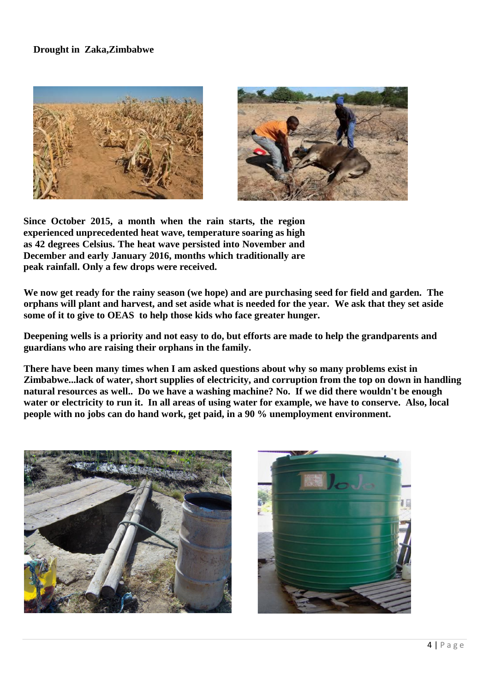## **Drought in Zaka,Zimbabwe**





**Since October 2015, a month when the rain starts, the region experienced unprecedented heat wave, temperature soaring as high as 42 degrees Celsius. The heat wave persisted into November and December and early January 2016, months which traditionally are peak rainfall. Only a few drops were received.**

**We now get ready for the rainy season (we hope) and are purchasing seed for field and garden. The orphans will plant and harvest, and set aside what is needed for the year. We ask that they set aside some of it to give to OEAS to help those kids who face greater hunger.**

**Deepening wells is a priority and not easy to do, but efforts are made to help the grandparents and guardians who are raising their orphans in the family.**

**There have been many times when I am asked questions about why so many problems exist in Zimbabwe...lack of water, short supplies of electricity, and corruption from the top on down in handling natural resources as well.. Do we have a washing machine? No. If we did there wouldn't be enough water or electricity to run it. In all areas of using water for example, we have to conserve. Also, local people with no jobs can do hand work, get paid, in a 90 % unemployment environment.**